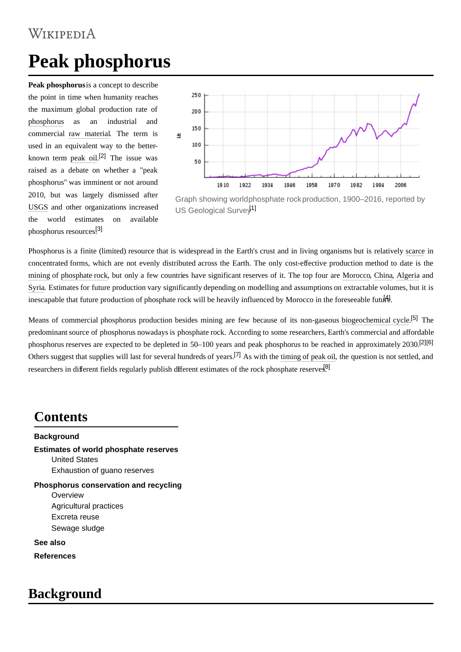# WIKIPEDIA

# **Peak phosphorus**

**Peak phosphorus**is a concept to describe the point in time when humanity reaches the maximum global production rate of [phosphorus](https://en.wikipedia.org/wiki/Phosphorus) as an industrial and commercial [raw material.](https://en.wikipedia.org/wiki/Raw_material) The term is used in an equivalent way to the betterknown term [peak oil](https://en.wikipedia.org/wiki/Peak_oil). [\[2\]](#page-3-0) The issue was raised as a debate on whether a "peak phosphorus" was imminent or not around 2010, but was largely dismissed after [USGS](https://en.wikipedia.org/wiki/USGS) and other organizations increased the world estimates on available phosphorus resources.[\[3\]](#page-3-1)



Graph showing world [phosphate rock](https://en.wikipedia.org/wiki/Phosphate_rock) production, 1900–2016, reported by [US Geological Survey](https://en.wikipedia.org/wiki/US_Geological_Survey)<sup>11</sup>

Phosphorus is a finite (limited) resource that is widespread in the Earth's crust and in living organisms but is relatively [scarce](https://en.wikipedia.org/wiki/Scarcity) in concentrated forms, which are not evenly distributed across the Earth. The only cost-effective production method to date is the [mining](https://en.wikipedia.org/wiki/Mining) of [phosphate rock,](https://en.wikipedia.org/wiki/Phosphorite) but only a few countries have significant reserves of it. The top four are [Morocco](https://en.wikipedia.org/wiki/Morocco), [China](https://en.wikipedia.org/wiki/China), [Algeria](https://en.wikipedia.org/wiki/Algeria) and [Syria](https://en.wikipedia.org/wiki/Syria). Estimates for future production vary significantly depending on modelling and assumptions on extractable volumes, but it is inescapable that future production of phosphate rock will be heavily influenced by Morocco in the foreseeable future.

Means of commercial phosphorus production besides mining are few because of its non-gaseous [biogeochemical cycle](https://en.wikipedia.org/wiki/Biogeochemical_cycle).<sup>[\[5\]](#page-3-3)</sup> The predominant source of phosphorus nowadays is phosphate rock. According to some researchers, Earth's commercial and affordable phosphorus reserves are expected to be depleted in 50–100 years and peak phosphorus to be reached in approximately 2030.[\[2\]](#page-3-0)[\[6\]](#page-3-4) Others suggest that supplies will last for several hundreds of years.<sup>[\[7\]](#page-3-5)</sup> As with the [timing of peak oil,](https://en.wikipedia.org/wiki/Predicting_the_timing_of_peak_oil) the question is not settled, and researchers in different fields regularly publish different estimates of the rock phosphate reserves<sup>[\[8\]](#page-3-6)</sup>

### **Contents**

#### **[Background](#page-0-0)**

**[Estimates of world phosphate reserves](#page-1-0)** [United States](#page-1-1)

[Exhaustion of guano reserves](#page-2-0)

**[Phosphorus conservation and recycling](#page-2-1)** [Overview](#page-2-2) [Agricultural practices](#page-2-3) [Excreta reuse](#page-2-4) [Sewage sludge](#page-3-7)

**[See also](#page-3-8)**

**[References](#page-3-9)**

# <span id="page-0-0"></span>**Background**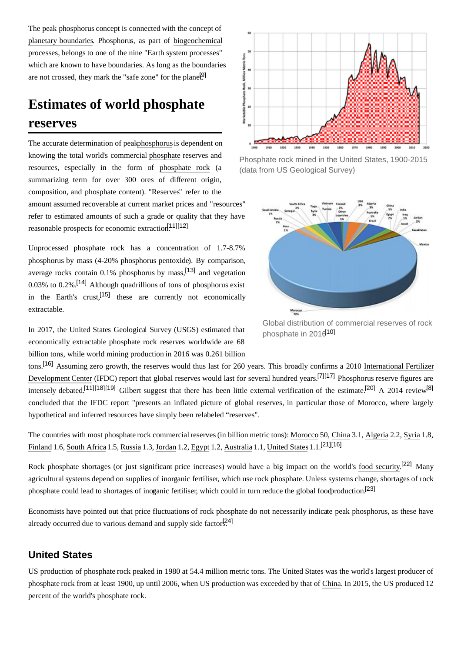The peak phosphorus concept is connected with the concept of [planetary boundaries.](https://en.wikipedia.org/wiki/Planetary_boundary) Phosphorus, as part of [biogeochemical](https://en.wikipedia.org/wiki/Biogeochemistry) processes, belongs to one of the nine "Earth system processes" which are known to have boundaries. As long as the boundaries are not crossed, they mark the "safe zone" for the planet.<sup>[\[9\]](#page-3-11)</sup>

# <span id="page-1-0"></span>**Estimates of world phosphate reserves**

The accurate determination of pea[k phosphorus](https://en.wikipedia.org/wiki/Phosphorus) is dependent on knowing the total world's commercial [phosphate](https://en.wikipedia.org/wiki/Phosphate) reserves and resources, especially in the form of [phosphate rock](https://en.wikipedia.org/wiki/Phosphate_rock) (a summarizing term for over 300 ores of different origin, composition, and phosphate content). "Reserves" refer to the amount assumed recoverable at current market prices and "resources" refer to estimated amounts of such a grade or quality that they have reasonable prospects for economic extraction $[11][12]$  $[11][12]$ 

Unprocessed phosphate rock has a concentration of 1.7-8.7% phosphorus by mass (4-20% [phosphorus pentoxide](https://en.wikipedia.org/wiki/Phosphorus_pentoxide)). By comparison, average rocks contain  $0.1\%$  phosphorus by mass,<sup>[\[13\]](#page-4-2)</sup> and vegetation 0.03% to 0.2%.<sup>[\[14\]](#page-4-3)</sup> Although quadrillions of tons of phosphorus exist in the Earth's crust,<sup>[\[15\]](#page-4-4)</sup> these are currently not economically extractable.

In 2017, the [United States Geological Survey](https://en.wikipedia.org/wiki/United_States_Geological_Survey) (USGS) estimated that economically extractable phosphate rock reserves worldwide are 68 billion tons, while world mining production in 2016 was 0.261 billion

tons.[\[16\]](#page-4-5) Assuming zero growth, [the reserves would thus last for 260 years. This broadly confirms a 2010 International Fertilizer](https://en.wikipedia.org/wiki/International_Fertilizer_Development_Center) Development Center (IFDC) report that global reserves would last for several hundred years.[\[7\]](#page-3-5)[\[17\]](#page-4-6) Phosphorus reserve figures are intensely debated.<sup>[\[11\]](#page-4-0)</sup>[\[18\]](#page-4-7)<sup>[\[19\]](#page-4-8)</sup> Gilbert suggest that there has been little external verification of the estimate.<sup>[\[20\]](#page-4-9)</sup> A 2014 review<sup>[\[8\]](#page-3-6)</sup> concluded that the IFDC report "presents an inflated picture of global reserves, in particular those of Morocco, where largely hypothetical and inferred resources have simply been relabeled "reserves".

The countries with most phosphate rock commercial reserves (in billion metric tons): [Morocco](https://en.wikipedia.org/wiki/Morocco) 50, [China](https://en.wikipedia.org/wiki/China) 3.1, [Algeria](https://en.wikipedia.org/wiki/Algeria) 2.2, [Syria](https://en.wikipedia.org/wiki/Syria) 1.8, [Finland](https://en.wikipedia.org/wiki/Finland) 1.6, [South Africa](https://en.wikipedia.org/wiki/South_Africa) 1.5, [Russia](https://en.wikipedia.org/wiki/Russia) 1.3, [Jordan](https://en.wikipedia.org/wiki/Jordan) 1.2, [Egypt](https://en.wikipedia.org/wiki/Egypt) 1.2, [Australia](https://en.wikipedia.org/wiki/Australia) 1.1, [United States](https://en.wikipedia.org/wiki/United_States) 1.1.[\[21\]](#page-4-10)[\[16\]](#page-4-5)

Rock phosphate shortages (or just significant price increases) would have a big impact on the world's [food security.](https://en.wikipedia.org/wiki/Food_security)<sup>[\[22\]](#page-4-11)</sup> Many agricultural systems depend on supplies of inorganic fertiliser, which use rock phosphate. Unless systems change, shortages of rock phosphate could lead to shortages of inoganic fertiliser, which could in turn reduce the global food production.<sup>[\[23\]](#page-4-12)</sup>

Economists have pointed out that price fluctuations of rock phosphate do not necessarily indicate peak phosphorus, as these have already occurred due to various demand and supply side factor $[24]$ 

#### <span id="page-1-1"></span>**United States**

US production of phosphate rock peaked in 1980 at 54.4 million metric tons. The United States was the world's largest producer of phosphate rock from at least 1900, up until 2006, when US production was exceeded by that of [China](https://en.wikipedia.org/wiki/China). In 2015, the US produced 12 percent of the world's phosphate rock.



Phosphate rock mined in the United States, 1900-2015 (data from US Geological Survey)



Global distribution of commercial reserves of rock phosphate in  $2016$ <sup>10]</sup>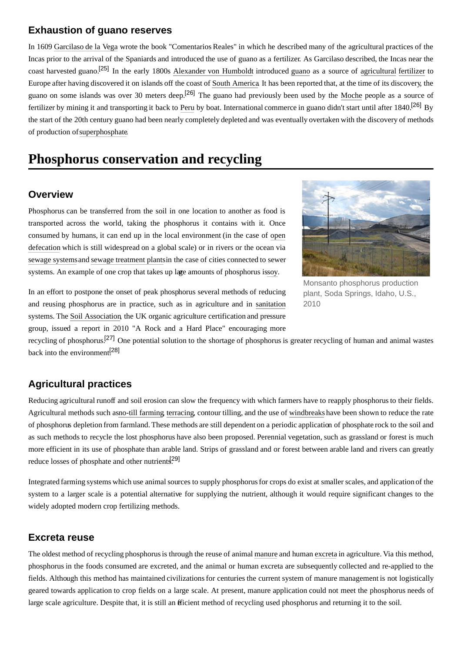#### <span id="page-2-0"></span>**Exhaustion of guano reserves**

In 1609 [Garcilaso de](https://en.wikipedia.org/wiki/Garcilaso_de_la_Vega_(El_Inca)) la Vega wrote the book "Comentarios Reales" in which he described many of the agricultural practices of the Incas prior to the arrival of the Spaniards and introduced the use of guano as a fertilizer. As Garcilaso described, the Incas near the coast harvested guano.[\[25\]](#page-4-14) In the early 1800s [Alexander von Humboldt](https://en.wikipedia.org/wiki/Alexander_von_Humboldt) introduced [guano](https://en.wikipedia.org/wiki/Guano) as a source of [agricultural](https://en.wikipedia.org/wiki/Agriculture) [fertilizer](https://en.wikipedia.org/wiki/Fertilizer) to Europe after having discovered it on islands off the coast of [South America.](https://en.wikipedia.org/wiki/South_America) It has been reported that, at the time of its discovery, the guano on some islands was over 30 meters deep.<sup>[\[26\]](#page-4-15)</sup> The guano had previously been used by the [Moche](https://en.wikipedia.org/wiki/Moche_culture) people as a source of fertilizer by mining it and transporting it back to [Peru](https://en.wikipedia.org/wiki/Peru) by boat. International commerce in guano didn't start until after 1840.[\[26\]](#page-4-15) By the start of the 20th century guano had been nearly completely depleted and was eventually overtaken with the discovery of methods of production of [superphosphate.](https://en.wikipedia.org/wiki/Superphosphate)

### <span id="page-2-1"></span>**Phosphorus conservation and recycling**

#### <span id="page-2-2"></span>**Overview**

Phosphorus can be transferred from the soil in one location to another as food is transported across the world, taking the phosphorus it contains with it. Once consumed by humans, it can end up in the local environment (in the case of open defecation [which is still widespread on a global scale\) or in rivers or the ocean via](https://en.wikipedia.org/wiki/Open_defecation) [sewage systems](https://en.wikipedia.org/wiki/Sanitary_sewer) and [sewage treatment plants](https://en.wikipedia.org/wiki/Sewage_treatment_plant)in the case of cities connected to sewer systems. An example of one crop that takes up lare amounts of phosphorus issoy.



Monsanto phosphorus production plant, Soda Springs, Idaho, U.S., 2010

In an effort to postpone the onset of peak phosphorus several methods of reducing and reusing phosphorus are in practice, such as in agriculture and in [sanitation](https://en.wikipedia.org/wiki/Sanitation) systems. The [Soil Association,](https://en.wikipedia.org/wiki/Soil_Association) the UK organic agriculture certification and pressure group, issued a report in 2010 "A Rock and a Hard Place" encouraging more

recycling of phosphorus.[\[27\]](#page-4-16) One potential solution to the shortage of phosphorus is greater recycling of human and animal wastes back into the environment<sup>[\[28\]](#page-4-17)</sup>

### <span id="page-2-3"></span>**Agricultural practices**

Reducing agricultural runoff and soil erosion can slow the frequency with which farmers have to reapply phosphorus to their fields. Agricultural methods such asno-till farming, [terracing,](https://en.wikipedia.org/wiki/Terrace_(agriculture)) contour tilling, and the use of [windbreaks](https://en.wikipedia.org/wiki/Windbreak) have been shown to reduce the rate of phosphorus depletion from farmland. These methods are still dependent on a periodic application of phosphate rock to the soil and as such methods to recycle the lost phosphorus have also been proposed. Perennial vegetation, such as grassland or forest is much more efficient in its use of phosphate than arable land. Strips of grassland and or forest between arable land and rivers can greatly reduce losses of phosphate and other nutrients<sup>[\[29\]](#page-4-18)</sup>

Integrated farming systems which use animal sources to supply phosphorus for crops do exist at smaller scales, and application of the system to a larger scale is a potential alternative for supplying the nutrient, although it would require significant changes to the widely adopted modern crop fertilizing methods.

### <span id="page-2-4"></span>**Excreta reuse**

The oldest method of recycling phosphorus is through the reuse of animal [manure](https://en.wikipedia.org/wiki/Manure) and human [excreta](https://en.wikipedia.org/wiki/Excreta) in agriculture. Via this method, phosphorus in the foods consumed are excreted, and the animal or human excreta are subsequently collected and re-applied to the fields. Although this method has maintained civilizations for centuries the current system of manure management is not logistically geared towards application to crop fields on a large scale. At present, manure application could not meet the phosphorus needs of large scale agriculture. Despite that, it is still an efficient method of recycling used phosphorus and returning it to the soil.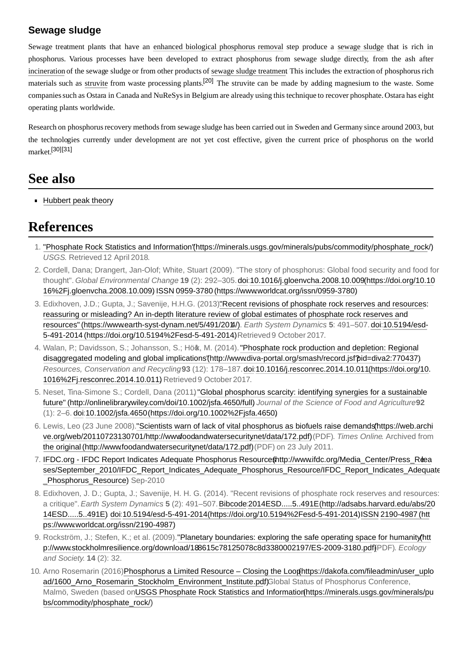### <span id="page-3-7"></span>**Sewage sludge**

Sewage treatment plants that have an [enhanced biological phosphorus removal](https://en.wikipedia.org/wiki/Enhanced_biological_phosphorus_removal) step produce a [sewage sludge](https://en.wikipedia.org/wiki/Sewage_sludge) that is rich in phosphorus. Various processes have been developed to extract phosphorus from sewage sludge directly, from the ash after [incineration](https://en.wikipedia.org/wiki/Incineration) of the sewage sludge or from other products of [sewage sludge treatment.](https://en.wikipedia.org/wiki/Sewage_sludge_treatment) This includes the extraction of phosphorus rich materials such as [struvite](https://en.wikipedia.org/wiki/Struvite) from waste processing plants.<sup>[\[20\]](#page-4-9)</sup> The struvite can be made by adding magnesium to the waste. Some companies such as Ostara in Canada and NuReSys in Belgium are already using this technique to recover phosphate. Ostara has eight operating plants worldwide.

Research on phosphorus recovery methods from sewage sludge has been carried out in Sweden and Germany since around 2003, but the technologies currently under development are not yet cost effective, given the current price of phosphorus on the world market.[\[30\]](#page-5-0)[\[31\]](#page-5-1)

### <span id="page-3-8"></span>**See also**

**[Hubbert peak theory](https://en.wikipedia.org/wiki/Hubbert_peak_theory)** 

### <span id="page-3-9"></span>**References**

- <span id="page-3-10"></span>1[.](https://minerals.usgs.gov/minerals/pubs/commodity/phosphate_rock/) "Phosphate Rock Statistics and Information'(https://minerals.usgs.gov/minerals/pubs/commodity/phosphate\_rock/) *USGS*. Retrieved 12 April 2018.
- <span id="page-3-0"></span>2. Cordell, Dana; Drangert, Jan-Olof; White, Stuart (2009). "The story of phosphorus: Global food security and food for thought". *Global Environmental Change*. **19** [\(2\): 292–305. d](https://doi.org/10.1016%2Fj.gloenvcha.2008.10.009)[o](https://en.wikipedia.org/wiki/Digital_object_identifier)[i:10.1016/j.gloenvcha.2008.10.009 \(https://doi.org/10.10](https://doi.org/10.1016%2Fj.gloenvcha.2008.10.009) 16%2Fj.gloenvcha.2008.10.009). [ISSN](https://en.wikipedia.org/wiki/International_Standard_Serial_Number) [0959-3780 \(https://www.worldcat.org/issn/0959-3780\)](https://www.worldcat.org/issn/0959-3780).
- <span id="page-3-1"></span>3. Edixhoven, J.D.; Gupta, J.; Savenije, H.H.G. (2013). Recent revisions of phosphate rock reserves and resources: reassuring or misleading? An in-depth literature review of global estimates of phosphate rock reserves and resources" (https://www.earth-syst-dynam.net/5/491/2014/). *Earth System Dynamics*. **5**: 491–507. [doi:](https://en.wikipedia.org/wiki/Digital_object_identifier)10.5194/esd-[5-491-2014 \(https://doi.org/10.5194%2Fesd-5-491-2014\). Retrieved 9 October 2017.](https://doi.org/10.5194%2Fesd-5-491-2014)
- <span id="page-3-2"></span>4. Walan, P.; Davidsson, S.; Johansson, S.; Höök, M. (2014). "Phosphate rock production and depletion: Regional disaggregated modeling and global implications'(http://www.diva-portal.org/smash/record.jsf?pid=diva2:770437). *Resources, Conservation and Recycling*. **93** [\(12\): 178–187.](https://doi.org/10.1016%2Fj.resconrec.2014.10.011) [doi](https://en.wikipedia.org/wiki/Digital_object_identifier)[:10.1016/j.resconrec.2014.10.011 \(https://doi.org/10](https://doi.org/10.1016%2Fj.resconrec.2014.10.011). 1016%2Fj.resconrec.2014.10.011) Retrieved 9 October 2017.
- <span id="page-3-3"></span>5. Neset, Tina-Simone S.; Cordell, Dana (2011) "Global phosphorus scarcity: identifying synergies for a sustainable future" (http://onlinelibrarywiley.com/doi/10.1002/jsfa.4650/full) Journal of the Science of Food and Agriculture92 (1): 2–6. [doi:](https://en.wikipedia.org/wiki/Digital_object_identifier)[10.1002/jsfa.4650 \(https://doi.org/10.1002%2Fjsfa.4650](https://doi.org/10.1002%2Fjsfa.4650))[.](https://doi.org/10.1002%2Fjsfa.4650)
- <span id="page-3-4"></span>6. Lewis, Leo (23 June 2008). "Scientists warn of lack of vital phosphorus as biofuels raise demands (https://web.archi ve.org/web/20110723130701/http://wwwfoodandwatersecurity.net/data/172.pdf)(PDF). *Times Online*. Archived from the original (http://www.foodandwatersecuritynet/data/172.pdf)(PDF) on 23 July 2011.
- <span id="page-3-5"></span>7. IFDC.org - IFDC Report Indicates Adequate Phosphorus Resource thttp://www.ifdc.org/Media\_Center/Press\_Reaa ses/September\_2010/IFDC\_Report\_Indicates\_Adequate\_Phosphorus\_Resource/IFDC\_Report\_Indicates\_Adequate Phosphorus Resource) Sep-2010
- <span id="page-3-6"></span>8. Edixhoven, J. D.; Gupta, J.; Savenije, H. H. G. (2014). "Recent revisions of phosphate rock reserves and resources: a critique". *Earth System Dynamics*. **5** (2): 491–507. [Bibcode:](https://en.wikipedia.org/wiki/Bibcode)2014ESD.....5..491E (http://adsabs.harvard.edu/abs/20 [14ESD.....5..491E\). doi:10.5194/esd-5-491-2014 \(https://doi.org/10.5194%2Fesd-5-491-2014\). ISSN](http://adsabs.harvard.edu/abs/2014ESD.....5..491E) 2190-4987 (htt ps://www.worldcat.org/issn/2190-4987).
- <span id="page-3-11"></span>9. Rockström, J.; Stefen, K.; et al. (2009). "Planetary boundaries: exploring the safe operating space for humanity(htt p://www.stockholmresilience.org/download/18.8615c78125078c8d3380002197/ES-2009-3180.pdf)(PDF). *Ecology and Society*. **14** (2): 32.
- <span id="page-3-12"></span>10. Arno Rosemarin (2016) Phosphorus a Limited Resource – Closing the Loophttps://dakofa.com/fileadmin/user\_uplo ad/1600 Arno\_Rosemarin\_Stockholm\_Environment\_Institute.pdf)Global Status of Phosphorus Conference, [Malmö, Sweden \(based on USGS Phosphate Rock Statistics and Information \(https://minerals.usgs.gov/minerals/pu](https://minerals.usgs.gov/minerals/pubs/commodity/phosphate_rock/) bs/commodity/phosphate\_rock/)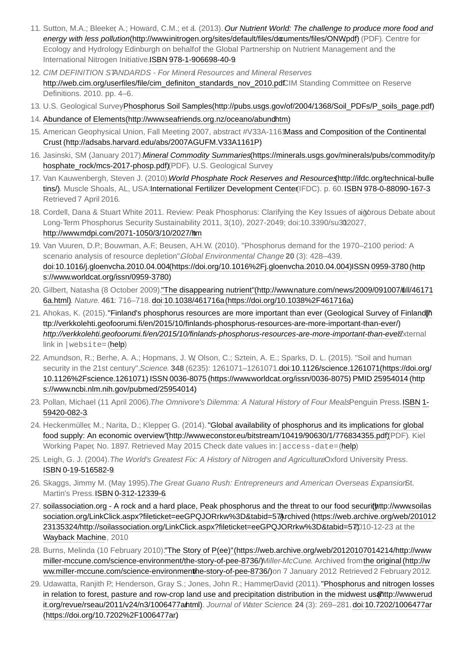- <span id="page-4-0"></span>11. Sutton, M.A.; Bleeker, A.; Howard, C.M.; et al. (2013). *Our Nutrient World: The challenge to produce more food and energy with less pollution*(http://www.initrogen.org/sites/default/files/documents/files/ONWpdf) (PDF). Centre for Ecology and Hydrology Edinburgh on behalf of the Global Partnership on Nutrient Management and the International Nitrogen Initiative[. ISBN](https://en.wikipedia.org/wiki/International_Standard_Book_Number) [978-1-906698-40-9.](https://en.wikipedia.org/wiki/Special:BookSources/978-1-906698-40-9)
- <span id="page-4-1"></span>12. *CIM DEFINITION STANDARDS - For Mineral Resources and Mineral Reserves*. [http://web.cim.org/userfiles/file/cim\\_definiton\\_standards\\_nov\\_2010.pd](http://web.cim.org/userfiles/file/cim_definiton_standards_nov_2010.pdf)CIM Standing Committee on Reserve Definitions. 2010. pp. 4–6.
- <span id="page-4-3"></span><span id="page-4-2"></span>13. U.S. Geological Survey [Phosphorus Soil Samples \(http://pubs.usgs.gov/of/2004/1368/Soil\\_PDFs/P\\_soils\\_page.pd](http://pubs.usgs.gov/of/2004/1368/Soil_PDFs/P_soils_page.pdf)f) 14. Abundance of Elements (http://www.seafriends.org.nz/oceano/abundhtm)
- <span id="page-4-4"></span>15. American Geophysical Union, Fall Meeting 2007, abstract #V33A-1161Mass and Composition of the Continental Crust (http://adsabs.harvard.edu/abs/2007AGUFM.V33A1161P)
- <span id="page-4-5"></span>16. Jasinski, SM (January 2017). *Mineral Commodity Summaries* (https://minerals.usgs.gov/minerals/pubs/commodity/p [hosphate\\_rock/mcs-2017-phosp.pdf\)\(PDF\). U.S. Geological Survey.](https://minerals.usgs.gov/minerals/pubs/commodity/phosphate_rock/mcs-2017-phosp.pdf)
- <span id="page-4-6"></span>17. Van Kauwenbergh, Steven J. (2010). *World Phosphate Rock Reserves and Resources* (http://ifdc.org/technical-bulle tins/). Muscle Shoals, AL, USA: International Fertilizer Development Center(IFDC). p. 60. ISBN [978-0-88090-167-3](https://en.wikipedia.org/wiki/Special:BookSources/978-0-88090-167-3) Retrieved 7 April 2016.
- <span id="page-4-7"></span>18. Cordell, Dana & Stuart White 2011. Review: Peak Phosphorus: Clarifying the Key Issues of aigorous Debate about Long-Term Phosphorus Security Sustainability 2011, 3(10), 2027-2049; doi:10.3390/su302027, <http://www.mdpi.com/2071-1050/3/10/2027/htm>
- <span id="page-4-8"></span>19. Van Vuuren, D.P.; Bouwman, A.F.; Beusen, A.H.W. (2010). "Phosphorus demand for the 1970–2100 period: A scenario analysis of resource depletion". *Global Environmental Change*. **20** (3): 428–439. [do](https://en.wikipedia.org/wiki/Digital_object_identifier)[i:1](https://www.worldcat.org/issn/0959-3780)[0.1016/j.gloenvcha.2010.04.004 \(https://doi.org/10.1016%2Fj.gloenvcha.2010.04.00](https://doi.org/10.1016%2Fj.gloenvcha.2010.04.004)[4\). I](https://www.worldcat.org/issn/0959-3780)[SS](https://en.wikipedia.org/wiki/International_Standard_Serial_Number)[N](https://www.worldcat.org/issn/0959-3780) 0959-3780 (http s://www.worldcat.org/issn/0959-3780).
- <span id="page-4-9"></span>20. [Gilbert, Natasha \(8 October 2009\). "The disappearing nutrient" \(http://www.nature.com/news/2009/091007/full/46171](http://www.nature.com/news/2009/091007/full/461716a.html) 6a.html). *Nature*. **461**: 716–718. [doi](https://en.wikipedia.org/wiki/Digital_object_identifier):[10.1038/461716a \(https://doi.org/10.1038%2F461716a](https://doi.org/10.1038%2F461716a)).
- <span id="page-4-10"></span>21. Ahokas, K. (2015). "Finland's phosphorus resources are more important than ever (Geological Survey of Finland)<sup>\*</sup>h ttp://verkkolehti.geofoorumi.fi/en/2015/10/finlands-phosphorus-resources-are-more-important-than-ever/) . *[http://verkkolehti.geofoorumi.fi/en/2015/10/finlands-phosphorus-resources-are-more-important-than-eve](http://verkkolehti.geofoorumi.fi/en/2015/10/finlands-phosphorus-resources-are-more-important-than-ever/)<i>External* link in |website= [\(help](https://en.wikipedia.org/wiki/Help:CS1_errors#param_has_ext_link))
- <span id="page-4-11"></span>22. Amundson, R.; Berhe, A. A.; Hopmans, J. W. Olson, C.; Sztein, A. E.; Sparks, D. L. (2015). "Soil and human security in the 21st century". *Science*. **348** [\(6235\): 1261071–1261071.](https://doi.org/10.1126%2Fscience.1261071) [do](https://en.wikipedia.org/wiki/Digital_object_identifier)[i:10.1126/science.1261071 \(https://doi.org/](https://doi.org/10.1126%2Fscience.1261071) 10.1126%2Fscience.1261071) [ISSN](https://en.wikipedia.org/wiki/International_Standard_Serial_Number) [0](https://www.ncbi.nlm.nih.gov/pubmed/25954014)[036-8075 \(https://www.worldcat.org/issn/0036-8075](https://www.worldcat.org/issn/0036-8075)) [PMI](https://en.wikipedia.org/wiki/PubMed_Identifier)[D](https://www.ncbi.nlm.nih.gov/pubmed/25954014) 25954014 (http s://www.ncbi.nlm.nih.gov/pubmed/25954014).
- <span id="page-4-12"></span>23. Pollan, Michael (11 April 2006). [The Omnivore's Dilemma: A Natural History of Four Meals](https://en.wikipedia.org/wiki/Special:BookSources/1-59420-082-3)Penguin Press. [ISBN](https://en.wikipedia.org/wiki/International_Standard_Book_Number) 1-59420-082-3.
- <span id="page-4-13"></span>24. [Heckenmüller, M.; Narita, D.; Klepper, G. \(2014\). "Global availability of phosphorus and its implications for globa](http://www.econstor.eu/bitstream/10419/90630/1/776834355.pdf)l food supply: An economic overview"(http://www.econstor.eu/bitstream/10419/90630/1/776834355.pdf)(PDF). Kiel Working Paper, No. 1897. Retrieved May 2015 Check date values in: | access-date= ([help](https://en.wikipedia.org/wiki/Help:CS1_errors#bad_date))
- <span id="page-4-14"></span>25. Leigh, G. J. (2004). *The World's Greatest Fix: A History of Nitrogen and Agriculture* Oxford University Press. [ISBN](https://en.wikipedia.org/wiki/International_Standard_Book_Number) [0-19-516582-9](https://en.wikipedia.org/wiki/Special:BookSources/0-19-516582-9).
- <span id="page-4-15"></span>26. Skaggs, Jimmy M. (May 1995). The Great Guano Rush: Entrepreneurs and American Overseas Expansion<sup>6</sup>t. Martin's Press. [ISBN](https://en.wikipedia.org/wiki/International_Standard_Book_Number) [0-312-12339-6](https://en.wikipedia.org/wiki/Special:BookSources/0-312-12339-6).
- <span id="page-4-16"></span>27. soilassociation.org - A rock and a hard place. Peak phosphorus and the threat to our food securithttp://www.soilas sociation.org/LinkClick.aspx?fileticket=eeGPQJORrkw%3D&tabid=57 $\lambda$ rchived (https://web.archive.org/web/201012 23135324/http://soilassociation.org/LinkClick.aspx?fileticket=eeGPQJORrkw%3D&tabid=572010-12-23 at the [Wayback Machine](https://en.wikipedia.org/wiki/Wayback_Machine)., 2010
- <span id="page-4-17"></span>28. [Burns, Melinda \(10 February 2010\). "The Story of P\(ee\)" \(https://web.archive.org/web/20120107014214/http://www.](https://web.archive.org/web/20120107014214/http://www.miller-mccune.com/science-environment/the-story-of-pee-8736/) miller-mccune.com/science-environment/the-story-of-pee-8736/)/*Miller-McCune*. Archived from the original (http://w ww.miller-mccune.com/science-environmenthe-story-of-pee-8736/) on 7 January 2012 Retrieved 2 February 2012.
- <span id="page-4-18"></span>29. Udawatta, Ranjith P.; Henderson, Gray S.; Jones, John R.; HammerDavid (2011). "Phosphorus and nitrogen losses in relation to forest, pasture and row-crop land use and precipitation distribution in the midwest usahttp://www.erud it.org/revue/rseau/2011/v24/n3/1006477ahtml). Journal of Water Science. 24 (3): 269-281. [doi](https://en.wikipedia.org/wiki/Digital_object_identifier):10.7202/1006477ar (https://doi.org/10.7202%2F1006477ar).